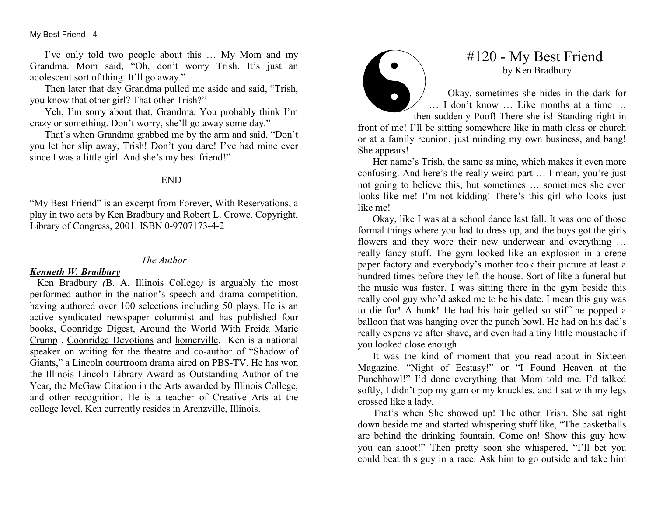My Best Friend - 4

I've only told two people about this … My Mom and my Grandma. Mom said, "Oh, don't worry Trish. It's just an adolescent sort of thing. It'll go away."

 Then later that day Grandma pulled me aside and said, "Trish, you know that other girl? That other Trish?"

 Yeh, I'm sorry about that, Grandma. You probably think I'm crazy or something. Don't worry, she'll go away some day."

 That's when Grandma grabbed me by the arm and said, "Don't you let her slip away, Trish! Don't you dare! I've had mine ever since I was a little girl. And she's my best friend!"

## END

"My Best Friend" is an excerpt from Forever, With Reservations, a play in two acts by Ken Bradbury and Robert L. Crowe. Copyright, Library of Congress, 2001. ISBN 0-9707173-4-2

#### The Author

### Kenneth W. Bradbury

 Ken Bradbury (B. A. Illinois College) is arguably the most performed author in the nation's speech and drama competition, having authored over 100 selections including 50 plays. He is an active syndicated newspaper columnist and has published four books, Coonridge Digest, Around the World With Freida Marie Crump, Coonridge Devotions and homerville. Ken is a national speaker on writing for the theatre and co-author of "Shadow of Giants," a Lincoln courtroom drama aired on PBS-TV. He has won the Illinois Lincoln Library Award as Outstanding Author of the Year, the McGaw Citation in the Arts awarded by Illinois College, and other recognition. He is a teacher of Creative Arts at the college level. Ken currently resides in Arenzville, Illinois.



# #120 - My Best Friend by Ken Bradbury

Okay, sometimes she hides in the dark for … I don't know … Like months at a time … then suddenly Poof! There she is! Standing right in front of me! I'll be sitting somewhere like in math class or church or at a family reunion, just minding my own business, and bang!

She appears! Her name's Trish, the same as mine, which makes it even more confusing. And here's the really weird part … I mean, you're just not going to believe this, but sometimes … sometimes she even looks like me! I'm not kidding! There's this girl who looks just like me!

 Okay, like I was at a school dance last fall. It was one of those formal things where you had to dress up, and the boys got the girls flowers and they wore their new underwear and everything … really fancy stuff. The gym looked like an explosion in a crepe paper factory and everybody's mother took their picture at least a hundred times before they left the house. Sort of like a funeral but the music was faster. I was sitting there in the gym beside this really cool guy who'd asked me to be his date. I mean this guy was to die for! A hunk! He had his hair gelled so stiff he popped a balloon that was hanging over the punch bowl. He had on his dad's really expensive after shave, and even had a tiny little moustache if you looked close enough.

 It was the kind of moment that you read about in Sixteen Magazine. "Night of Ecstasy!" or "I Found Heaven at the Punchbowl!" I'd done everything that Mom told me. I'd talked softly, I didn't pop my gum or my knuckles, and I sat with my legs crossed like a lady.

 That's when She showed up! The other Trish. She sat right down beside me and started whispering stuff like, "The basketballs are behind the drinking fountain. Come on! Show this guy how you can shoot!" Then pretty soon she whispered, "I'll bet you could beat this guy in a race. Ask him to go outside and take him